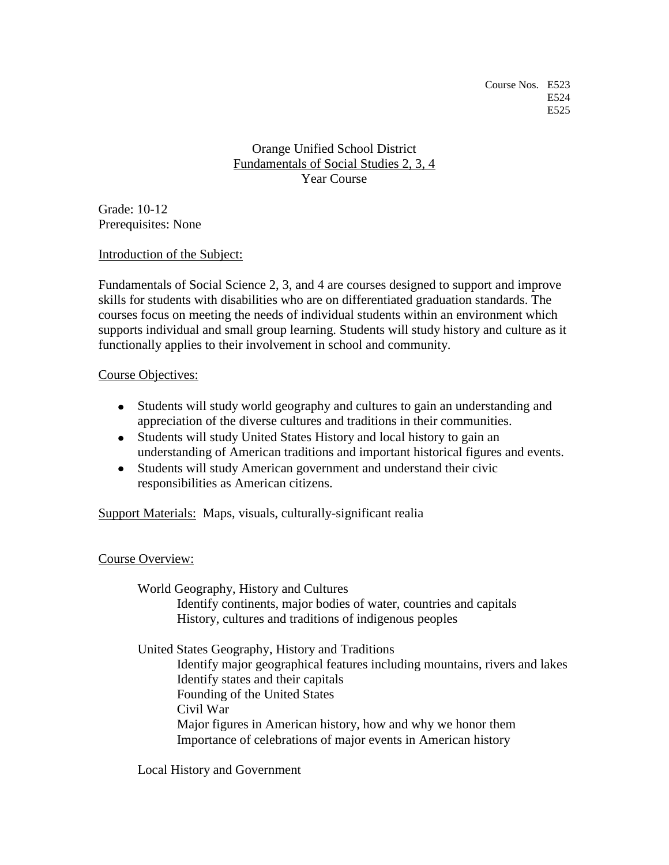Orange Unified School District Fundamentals of Social Studies 2, 3, 4 Year Course

Grade: 10-12 Prerequisites: None

Introduction of the Subject:

Fundamentals of Social Science 2, 3, and 4 are courses designed to support and improve skills for students with disabilities who are on differentiated graduation standards. The courses focus on meeting the needs of individual students within an environment which supports individual and small group learning. Students will study history and culture as it functionally applies to their involvement in school and community.

## Course Objectives:

- Students will study world geography and cultures to gain an understanding and appreciation of the diverse cultures and traditions in their communities.
- Students will study United States History and local history to gain an understanding of American traditions and important historical figures and events.
- Students will study American government and understand their civic responsibilities as American citizens.

Support Materials: Maps, visuals, culturally-significant realia

## Course Overview:

World Geography, History and Cultures Identify continents, major bodies of water, countries and capitals History, cultures and traditions of indigenous peoples

United States Geography, History and Traditions Identify major geographical features including mountains, rivers and lakes Identify states and their capitals Founding of the United States Civil War Major figures in American history, how and why we honor them Importance of celebrations of major events in American history

Local History and Government